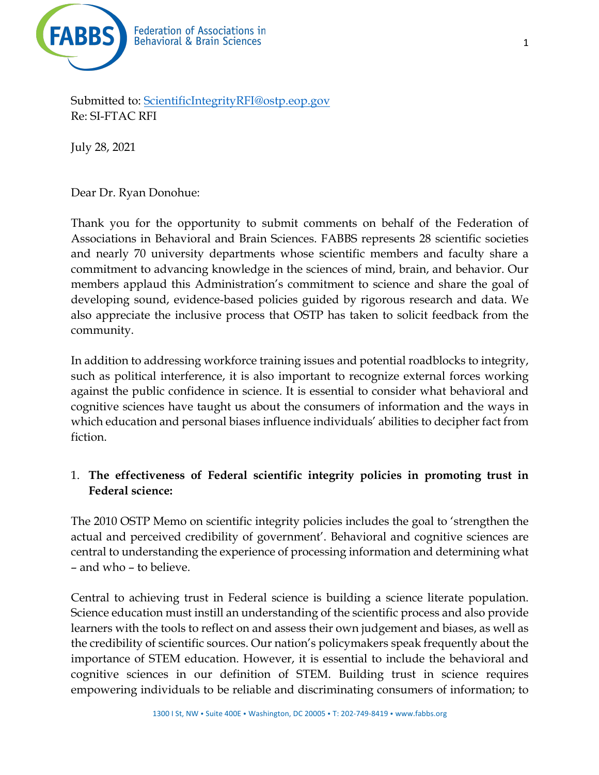

Submitted to: ScientificIntegrityRFI@ostp.eop.gov Re: SI-FTAC RFI

July 28, 2021

Dear Dr. Ryan Donohue:

Thank you for the opportunity to submit comments on behalf of the Federation of Associations in Behavioral and Brain Sciences. FABBS represents 28 scientific societies and nearly 70 university departments whose scientific members and faculty share a commitment to advancing knowledge in the sciences of mind, brain, and behavior. Our members applaud this Administration's commitment to science and share the goal of developing sound, evidence-based policies guided by rigorous research and data. We also appreciate the inclusive process that OSTP has taken to solicit feedback from the community.

In addition to addressing workforce training issues and potential roadblocks to integrity, such as political interference, it is also important to recognize external forces working against the public confidence in science. It is essential to consider what behavioral and cognitive sciences have taught us about the consumers of information and the ways in which education and personal biases influence individuals' abilities to decipher fact from fiction.

## 1. **The effectiveness of Federal scientific integrity policies in promoting trust in Federal science:**

The 2010 OSTP Memo on scientific integrity policies includes the goal to 'strengthen the actual and perceived credibility of government'. Behavioral and cognitive sciences are central to understanding the experience of processing information and determining what – and who – to believe.

Central to achieving trust in Federal science is building a science literate population. Science education must instill an understanding of the scientific process and also provide learners with the tools to reflect on and assess their own judgement and biases, as well as the credibility of scientific sources. Our nation's policymakers speak frequently about the importance of STEM education. However, it is essential to include the behavioral and cognitive sciences in our definition of STEM. Building trust in science requires empowering individuals to be reliable and discriminating consumers of information; to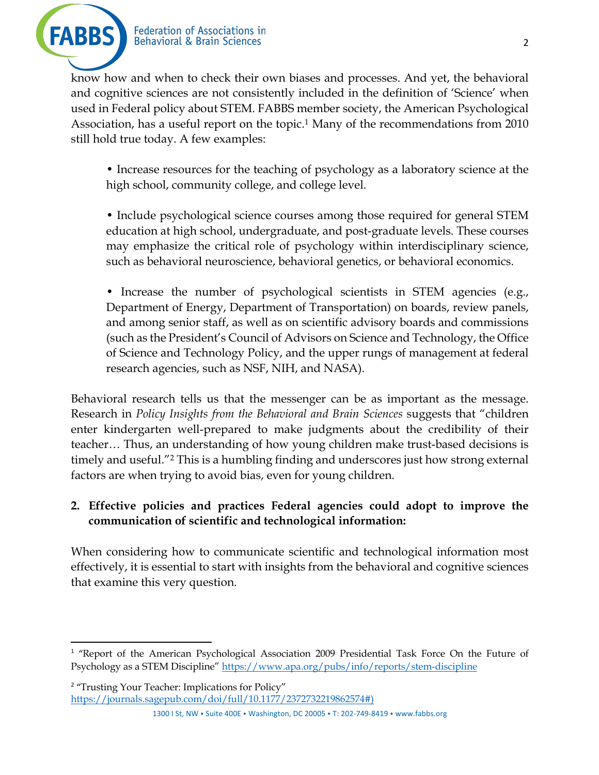

know how and when to check their own biases and processes. And yet, the behavioral and cognitive sciences are not consistently included in the definition of 'Science' when used in Federal policy about STEM. FABBS member society, the American Psychological Association, has a useful report on the topic. <sup>1</sup> Many of the recommendations from 2010 still hold true today. A few examples:

• Increase resources for the teaching of psychology as a laboratory science at the high school, community college, and college level.

• Include psychological science courses among those required for general STEM education at high school, undergraduate, and post-graduate levels. These courses may emphasize the critical role of psychology within interdisciplinary science, such as behavioral neuroscience, behavioral genetics, or behavioral economics.

• Increase the number of psychological scientists in STEM agencies (e.g., Department of Energy, Department of Transportation) on boards, review panels, and among senior staff, as well as on scientific advisory boards and commissions (such as the President's Council of Advisors on Science and Technology, the Office of Science and Technology Policy, and the upper rungs of management at federal research agencies, such as NSF, NIH, and NASA).

Behavioral research tells us that the messenger can be as important as the message. Research in *Policy Insights from the Behavioral and Brain Sciences* suggests that "children enter kindergarten well-prepared to make judgments about the credibility of their teacher… Thus, an understanding of how young children make trust-based decisions is timely and useful."2 This is a humbling finding and underscores just how strong external factors are when trying to avoid bias, even for young children.

## **2. Effective policies and practices Federal agencies could adopt to improve the communication of scientific and technological information:**

When considering how to communicate scientific and technological information most effectively, it is essential to start with insights from the behavioral and cognitive sciences that examine this very question.

<sup>2</sup> "Trusting Your Teacher: Implications for Policy" https://journals.sagepub.com/doi/full/10.1177/2372732219862574#)

1300 I St, NW • Suite 400E • Washington, DC 20005 • T: 202-749-8419 • www.fabbs.org

<sup>&</sup>lt;sup>1</sup> "Report of the American Psychological Association 2009 Presidential Task Force On the Future of Psychology as a STEM Discipline" https://www.apa.org/pubs/info/reports/stem-discipline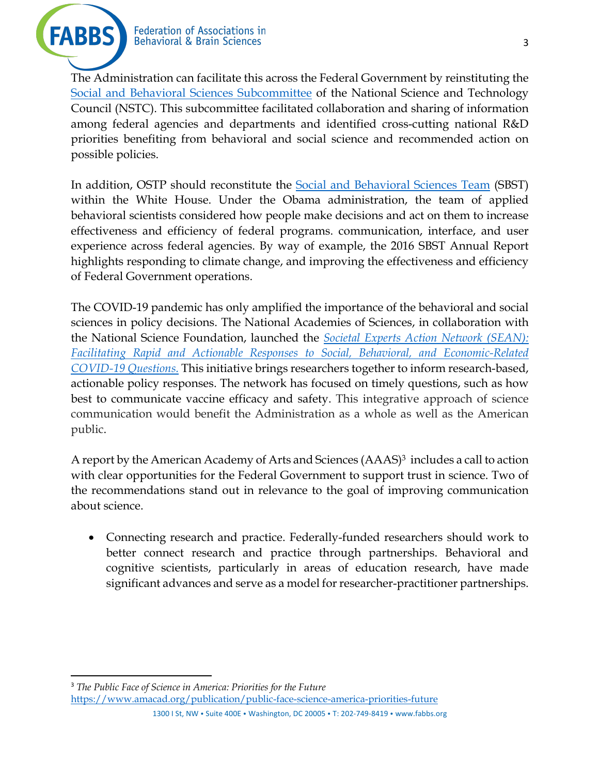

The Administration can facilitate this across the Federal Government by reinstituting the Social and Behavioral Sciences Subcommittee of the National Science and Technology Council (NSTC). This subcommittee facilitated collaboration and sharing of information among federal agencies and departments and identified cross-cutting national R&D priorities benefiting from behavioral and social science and recommended action on possible policies.

In addition, OSTP should reconstitute the Social and Behavioral Sciences Team (SBST) within the White House. Under the Obama administration, the team of applied behavioral scientists considered how people make decisions and act on them to increase effectiveness and efficiency of federal programs. communication, interface, and user experience across federal agencies. By way of example, the 2016 SBST Annual Report highlights responding to climate change, and improving the effectiveness and efficiency of Federal Government operations.

The COVID-19 pandemic has only amplified the importance of the behavioral and social sciences in policy decisions. The National Academies of Sciences, in collaboration with the National Science Foundation, launched the *Societal Experts Action Network (SEAN): Facilitating Rapid and Actionable Responses to Social, Behavioral, and Economic-Related COVID-19 Questions.* This initiative brings researchers together to inform research-based, actionable policy responses. The network has focused on timely questions, such as how best to communicate vaccine efficacy and safety. This integrative approach of science communication would benefit the Administration as a whole as well as the American public.

A report by the American Academy of Arts and Sciences  $(AAAS)^3$  includes a call to action with clear opportunities for the Federal Government to support trust in science. Two of the recommendations stand out in relevance to the goal of improving communication about science.

• Connecting research and practice. Federally-funded researchers should work to better connect research and practice through partnerships. Behavioral and cognitive scientists, particularly in areas of education research, have made significant advances and serve as a model for researcher-practitioner partnerships.

<sup>3</sup> *The Public Face of Science in America: Priorities for the Future* https://www.amacad.org/publication/public-face-science-america-priorities-future

1300 I St, NW • Suite 400E • Washington, DC 20005 • T: 202-749-8419 • www.fabbs.org